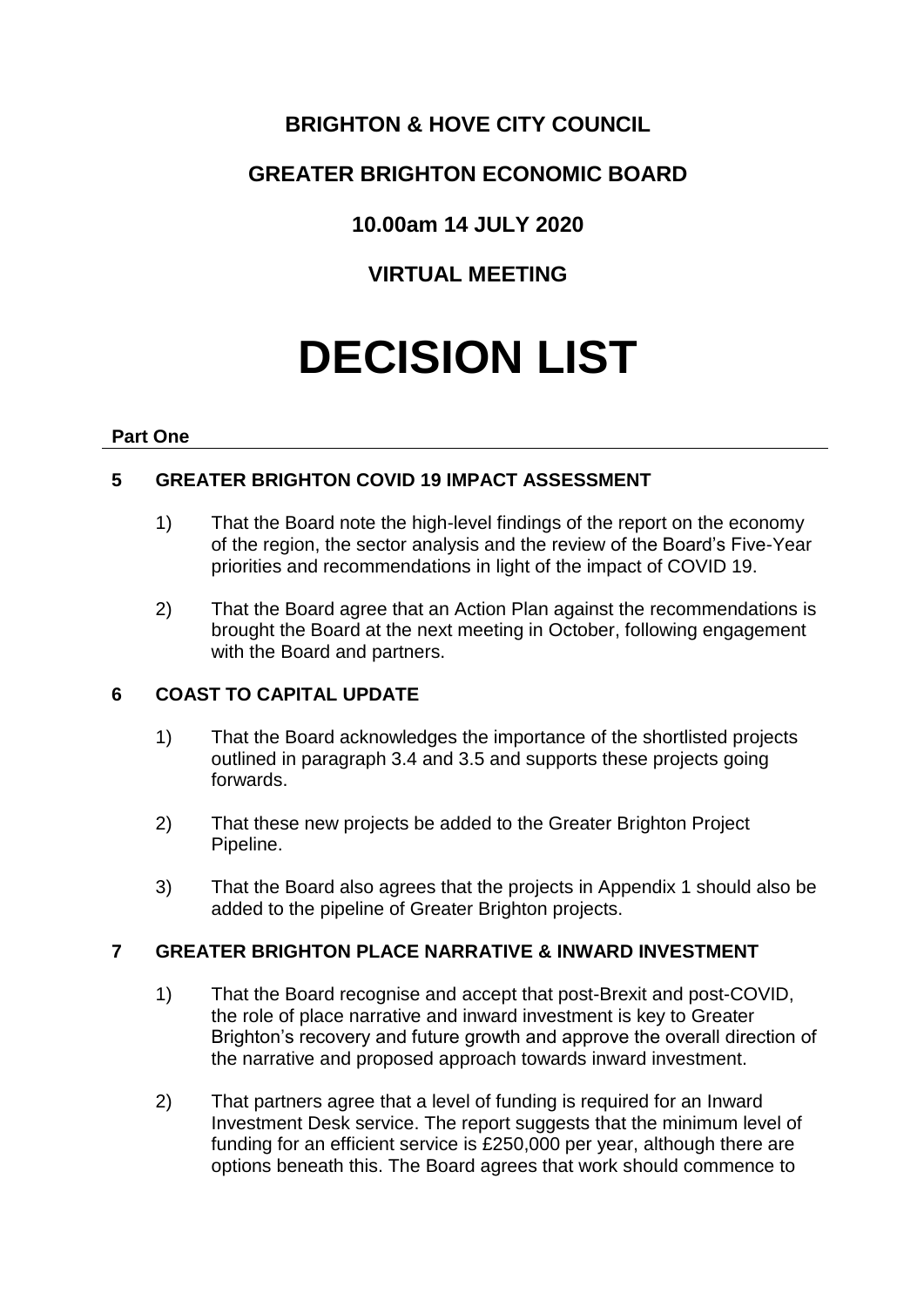# **BRIGHTON & HOVE CITY COUNCIL**

# **GREATER BRIGHTON ECONOMIC BOARD**

# **10.00am 14 JULY 2020**

# **VIRTUAL MEETING**

# **DECISION LIST**

### **Part One**

## **5 GREATER BRIGHTON COVID 19 IMPACT ASSESSMENT**

- 1) That the Board note the high-level findings of the report on the economy of the region, the sector analysis and the review of the Board's Five-Year priorities and recommendations in light of the impact of COVID 19.
- 2) That the Board agree that an Action Plan against the recommendations is brought the Board at the next meeting in October, following engagement with the Board and partners.

## **6 COAST TO CAPITAL UPDATE**

- 1) That the Board acknowledges the importance of the shortlisted projects outlined in paragraph 3.4 and 3.5 and supports these projects going forwards.
- 2) That these new projects be added to the Greater Brighton Project Pipeline.
- 3) That the Board also agrees that the projects in Appendix 1 should also be added to the pipeline of Greater Brighton projects.

## **7 GREATER BRIGHTON PLACE NARRATIVE & INWARD INVESTMENT**

- 1) That the Board recognise and accept that post-Brexit and post-COVID, the role of place narrative and inward investment is key to Greater Brighton's recovery and future growth and approve the overall direction of the narrative and proposed approach towards inward investment.
- 2) That partners agree that a level of funding is required for an Inward Investment Desk service. The report suggests that the minimum level of funding for an efficient service is £250,000 per year, although there are options beneath this. The Board agrees that work should commence to